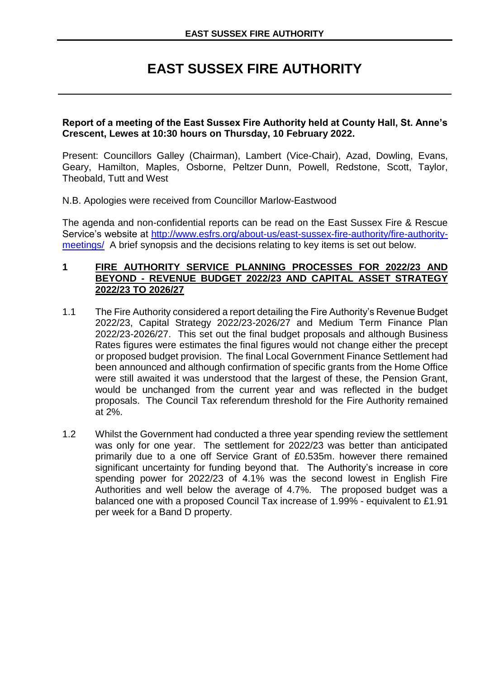# **EAST SUSSEX FIRE AUTHORITY**

#### **Report of a meeting of the East Sussex Fire Authority held at County Hall, St. Anne's Crescent, Lewes at 10:30 hours on Thursday, 10 February 2022.**

Present: Councillors Galley (Chairman), Lambert (Vice-Chair), Azad, Dowling, Evans, Geary, Hamilton, Maples, Osborne, Peltzer Dunn, Powell, Redstone, Scott, Taylor, Theobald, Tutt and West

N.B. Apologies were received from Councillor Marlow-Eastwood

The agenda and non-confidential reports can be read on the East Sussex Fire & Rescue Service's website at [http://www.esfrs.org/about-us/east-sussex-fire-authority/fire-authority](http://www.esfrs.org/about-us/east-sussex-fire-authority/fire-authority-meetings/)[meetings/](http://www.esfrs.org/about-us/east-sussex-fire-authority/fire-authority-meetings/) A brief synopsis and the decisions relating to key items is set out below.

#### **1 FIRE AUTHORITY SERVICE PLANNING PROCESSES FOR 2022/23 AND BEYOND - REVENUE BUDGET 2022/23 AND CAPITAL ASSET STRATEGY 2022/23 TO 2026/27**

- 1.1 The Fire Authority considered a report detailing the Fire Authority's Revenue Budget 2022/23, Capital Strategy 2022/23-2026/27 and Medium Term Finance Plan 2022/23-2026/27. This set out the final budget proposals and although Business Rates figures were estimates the final figures would not change either the precept or proposed budget provision. The final Local Government Finance Settlement had been announced and although confirmation of specific grants from the Home Office were still awaited it was understood that the largest of these, the Pension Grant, would be unchanged from the current year and was reflected in the budget proposals. The Council Tax referendum threshold for the Fire Authority remained at 2%.
- 1.2 Whilst the Government had conducted a three year spending review the settlement was only for one year. The settlement for 2022/23 was better than anticipated primarily due to a one off Service Grant of £0.535m. however there remained significant uncertainty for funding beyond that. The Authority's increase in core spending power for 2022/23 of 4.1% was the second lowest in English Fire Authorities and well below the average of 4.7%. The proposed budget was a balanced one with a proposed Council Tax increase of 1.99% - equivalent to £1.91 per week for a Band D property.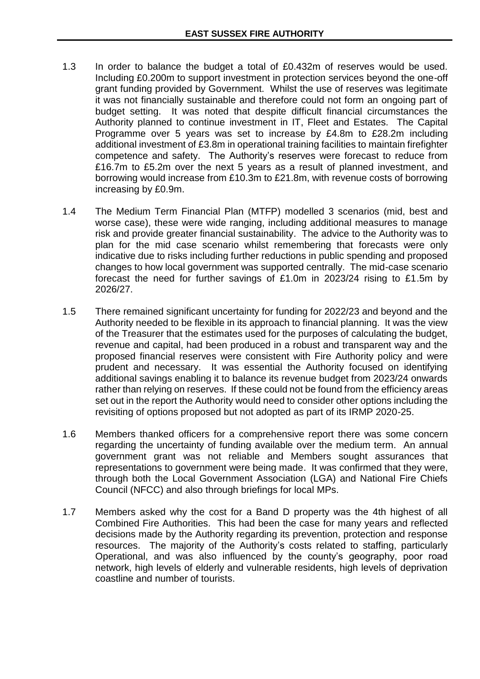- 1.3 In order to balance the budget a total of £0.432m of reserves would be used. Including £0.200m to support investment in protection services beyond the one-off grant funding provided by Government. Whilst the use of reserves was legitimate it was not financially sustainable and therefore could not form an ongoing part of budget setting. It was noted that despite difficult financial circumstances the Authority planned to continue investment in IT, Fleet and Estates. The Capital Programme over 5 years was set to increase by £4.8m to £28.2m including additional investment of £3.8m in operational training facilities to maintain firefighter competence and safety. The Authority's reserves were forecast to reduce from £16.7m to £5.2m over the next 5 years as a result of planned investment, and borrowing would increase from £10.3m to £21.8m, with revenue costs of borrowing increasing by £0.9m.
- 1.4 The Medium Term Financial Plan (MTFP) modelled 3 scenarios (mid, best and worse case), these were wide ranging, including additional measures to manage risk and provide greater financial sustainability. The advice to the Authority was to plan for the mid case scenario whilst remembering that forecasts were only indicative due to risks including further reductions in public spending and proposed changes to how local government was supported centrally. The mid-case scenario forecast the need for further savings of £1.0m in 2023/24 rising to £1.5m by 2026/27.
- 1.5 There remained significant uncertainty for funding for 2022/23 and beyond and the Authority needed to be flexible in its approach to financial planning. It was the view of the Treasurer that the estimates used for the purposes of calculating the budget, revenue and capital, had been produced in a robust and transparent way and the proposed financial reserves were consistent with Fire Authority policy and were prudent and necessary. It was essential the Authority focused on identifying additional savings enabling it to balance its revenue budget from 2023/24 onwards rather than relying on reserves. If these could not be found from the efficiency areas set out in the report the Authority would need to consider other options including the revisiting of options proposed but not adopted as part of its IRMP 2020-25.
- 1.6 Members thanked officers for a comprehensive report there was some concern regarding the uncertainty of funding available over the medium term. An annual government grant was not reliable and Members sought assurances that representations to government were being made. It was confirmed that they were, through both the Local Government Association (LGA) and National Fire Chiefs Council (NFCC) and also through briefings for local MPs.
- 1.7 Members asked why the cost for a Band D property was the 4th highest of all Combined Fire Authorities. This had been the case for many years and reflected decisions made by the Authority regarding its prevention, protection and response resources. The majority of the Authority's costs related to staffing, particularly Operational, and was also influenced by the county's geography, poor road network, high levels of elderly and vulnerable residents, high levels of deprivation coastline and number of tourists.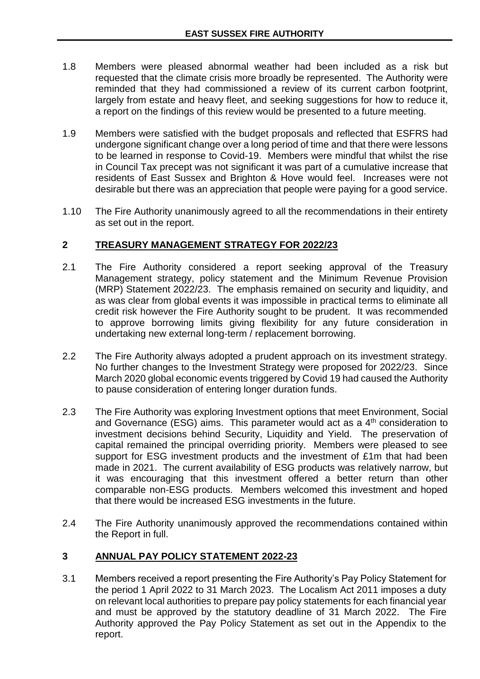- 1.8 Members were pleased abnormal weather had been included as a risk but requested that the climate crisis more broadly be represented. The Authority were reminded that they had commissioned a review of its current carbon footprint, largely from estate and heavy fleet, and seeking suggestions for how to reduce it, a report on the findings of this review would be presented to a future meeting.
- 1.9 Members were satisfied with the budget proposals and reflected that ESFRS had undergone significant change over a long period of time and that there were lessons to be learned in response to Covid-19. Members were mindful that whilst the rise in Council Tax precept was not significant it was part of a cumulative increase that residents of East Sussex and Brighton & Hove would feel. Increases were not desirable but there was an appreciation that people were paying for a good service.
- 1.10 The Fire Authority unanimously agreed to all the recommendations in their entirety as set out in the report.

### **2 TREASURY MANAGEMENT STRATEGY FOR 2022/23**

- 2.1 The Fire Authority considered a report seeking approval of the Treasury Management strategy, policy statement and the Minimum Revenue Provision (MRP) Statement 2022/23. The emphasis remained on security and liquidity, and as was clear from global events it was impossible in practical terms to eliminate all credit risk however the Fire Authority sought to be prudent. It was recommended to approve borrowing limits giving flexibility for any future consideration in undertaking new external long-term / replacement borrowing.
- 2.2 The Fire Authority always adopted a prudent approach on its investment strategy. No further changes to the Investment Strategy were proposed for 2022/23. Since March 2020 global economic events triggered by Covid 19 had caused the Authority to pause consideration of entering longer duration funds.
- 2.3 The Fire Authority was exploring Investment options that meet Environment, Social and Governance (ESG) aims. This parameter would act as a  $4<sup>th</sup>$  consideration to investment decisions behind Security, Liquidity and Yield. The preservation of capital remained the principal overriding priority. Members were pleased to see support for ESG investment products and the investment of £1m that had been made in 2021. The current availability of ESG products was relatively narrow, but it was encouraging that this investment offered a better return than other comparable non-ESG products. Members welcomed this investment and hoped that there would be increased ESG investments in the future.
- 2.4 The Fire Authority unanimously approved the recommendations contained within the Report in full.

## **3 ANNUAL PAY POLICY STATEMENT 2022-23**

3.1 Members received a report presenting the Fire Authority's Pay Policy Statement for the period 1 April 2022 to 31 March 2023. The Localism Act 2011 imposes a duty on relevant local authorities to prepare pay policy statements for each financial year and must be approved by the statutory deadline of 31 March 2022. The Fire Authority approved the Pay Policy Statement as set out in the Appendix to the report.